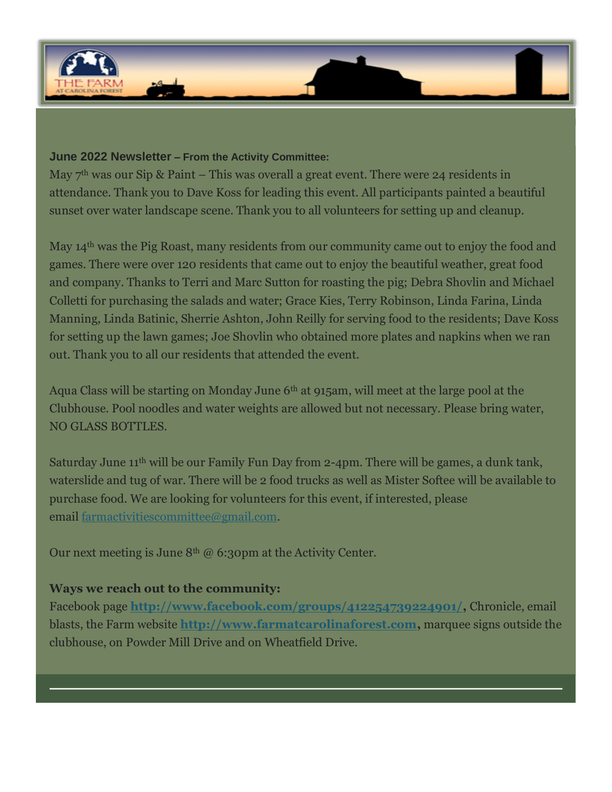

## **June 2022 Newsletter – From the Activity Committee:**

May  $7<sup>th</sup>$  was our Sip & Paint – This was overall a great event. There were 24 residents in attendance. Thank you to Dave Koss for leading this event. All participants painted a beautiful sunset over water landscape scene. Thank you to all volunteers for setting up and cleanup.

May 14<sup>th</sup> was the Pig Roast, many residents from our community came out to enjoy the food and games. There were over 120 residents that came out to enjoy the beautiful weather, great food and company. Thanks to Terri and Marc Sutton for roasting the pig; Debra Shovlin and Michael Colletti for purchasing the salads and water; Grace Kies, Terry Robinson, Linda Farina, Linda Manning, Linda Batinic, Sherrie Ashton, John Reilly for serving food to the residents; Dave Koss for setting up the lawn games; Joe Shovlin who obtained more plates and napkins when we ran out. Thank you to all our residents that attended the event.

Aqua Class will be starting on Monday June 6<sup>th</sup> at 915am, will meet at the large pool at the Clubhouse. Pool noodles and water weights are allowed but not necessary. Please bring water, NO GLASS BOTTLES.

Saturday June 11<sup>th</sup> will be our Family Fun Day from 2-4pm. There will be games, a dunk tank, waterslide and tug of war. There will be 2 food trucks as well as Mister Softee will be available to purchase food. We are looking for volunteers for this event, if interested, please email [farmactivitiescommittee@gmail.com.](mailto:farmactivitiescommittee@gmail.com)

Our next meeting is June  $8<sup>th</sup>$  @ 6:30pm at the Activity Center.

## **Ways we reach out to the community:**

Facebook page **[http://www.facebook.com/groups/412254739224901/,](http://www.facebook.com/groups/412254739224901/)** Chronicle, email blasts, the Farm website **[http://www.farmatcarolinaforest.com,](http://www.farmatcarolinaforest.com/)** marquee signs outside the clubhouse, on Powder Mill Drive and on Wheatfield Drive.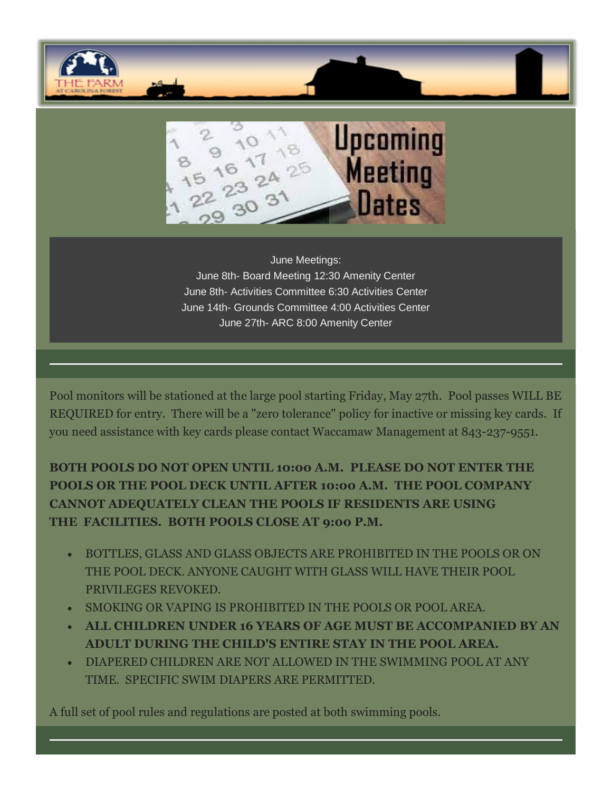



June Meetings: June 8th- Board Meeting 12:30 Amenity Center June 8th- Activities Committee 6:30 Activities Center June 14th- Grounds Committee 4:00 Activities Center June 27th- ARC 8:00 Amenity Center

Pool monitors will be stationed at the large pool starting Friday, May 27th. Pool passes WILL BE REQUIRED for entry. There will be a "zero tolerance" policy for inactive or missing key cards. If you need assistance with key cards please contact Waccamaw Management at 843-237-9551.

**BOTH POOLS DO NOT OPEN UNTIL 10:00 A.M. PLEASE DO NOT ENTER THE POOLS OR THE POOL DECK UNTIL AFTER 10:00 A.M. THE POOL COMPANY CANNOT ADEQUATELY CLEAN THE POOLS IF RESIDENTS ARE USING THE FACILITIES. BOTH POOLS CLOSE AT 9:00 P.M.**

- BOTTLES, GLASS AND GLASS OBJECTS ARE PROHIBITED IN THE POOLS OR ON THE POOL DECK. ANYONE CAUGHT WITH GLASS WILL HAVE THEIR POOL PRIVILEGES REVOKED.
- SMOKING OR VAPING IS PROHIBITED IN THE POOLS OR POOL AREA.
- **ALL CHILDREN UNDER 16 YEARS OF AGE MUST BE ACCOMPANIED BY AN ADULT DURING THE CHILD'S ENTIRE STAY IN THE POOL AREA.**
- DIAPERED CHILDREN ARE NOT ALLOWED IN THE SWIMMING POOL AT ANY TIME. SPECIFIC SWIM DIAPERS ARE PERMITTED.

A full set of pool rules and regulations are posted at both swimming pools.